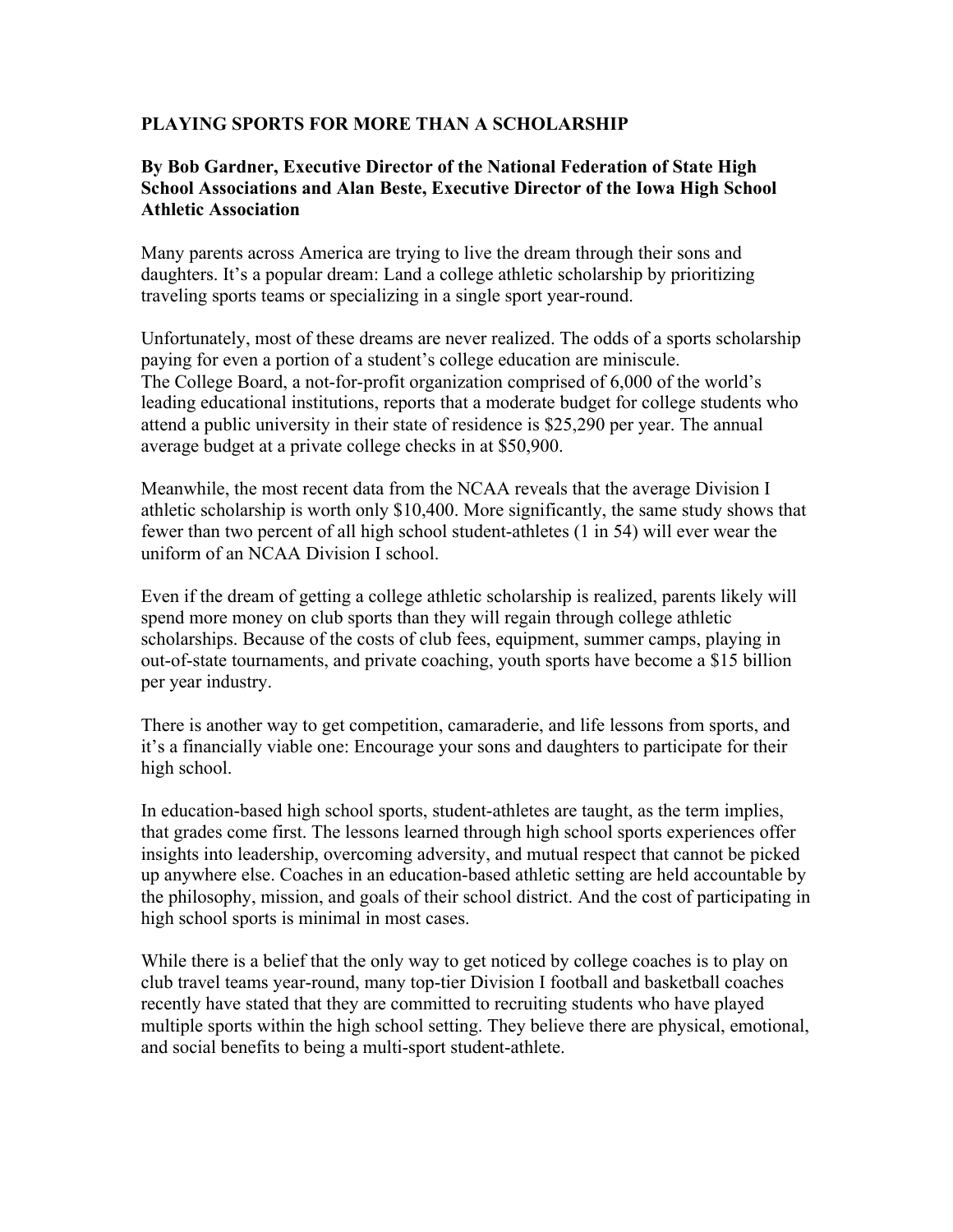## **PLAYING SPORTS FOR MORE THAN A SCHOLARSHIP**

## **By Bob Gardner, Executive Director of the National Federation of State High School Associations and Alan Beste, Executive Director of the Iowa High School Athletic Association**

Many parents across America are trying to live the dream through their sons and daughters. It's a popular dream: Land a college athletic scholarship by prioritizing traveling sports teams or specializing in a single sport year-round.

Unfortunately, most of these dreams are never realized. The odds of a sports scholarship paying for even a portion of a student's college education are miniscule. The College Board, a not-for-profit organization comprised of 6,000 of the world's leading educational institutions, reports that a moderate budget for college students who attend a public university in their state of residence is \$25,290 per year. The annual average budget at a private college checks in at \$50,900.

Meanwhile, the most recent data from the NCAA reveals that the average Division I athletic scholarship is worth only \$10,400. More significantly, the same study shows that fewer than two percent of all high school student-athletes (1 in 54) will ever wear the uniform of an NCAA Division I school.

Even if the dream of getting a college athletic scholarship is realized, parents likely will spend more money on club sports than they will regain through college athletic scholarships. Because of the costs of club fees, equipment, summer camps, playing in out-of-state tournaments, and private coaching, youth sports have become a \$15 billion per year industry.

There is another way to get competition, camaraderie, and life lessons from sports, and it's a financially viable one: Encourage your sons and daughters to participate for their high school.

In education-based high school sports, student-athletes are taught, as the term implies, that grades come first. The lessons learned through high school sports experiences offer insights into leadership, overcoming adversity, and mutual respect that cannot be picked up anywhere else. Coaches in an education-based athletic setting are held accountable by the philosophy, mission, and goals of their school district. And the cost of participating in high school sports is minimal in most cases.

While there is a belief that the only way to get noticed by college coaches is to play on club travel teams year-round, many top-tier Division I football and basketball coaches recently have stated that they are committed to recruiting students who have played multiple sports within the high school setting. They believe there are physical, emotional, and social benefits to being a multi-sport student-athlete.